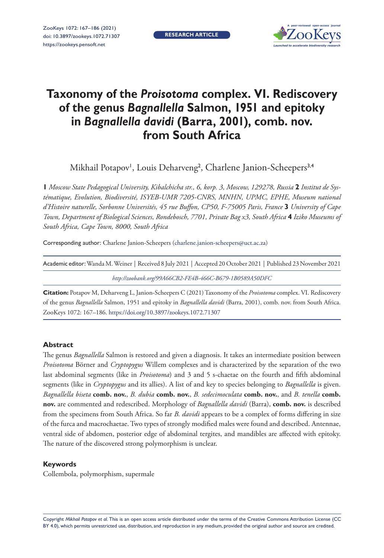**RESEARCH ARTICLE**



# **Taxonomy of the** *Proisotoma* **complex. VI. Rediscovery of the genus** *Bagnallella* **Salmon, 1951 and epitoky in** *Bagnallella davidi* **(Barra, 2001), comb. nov. from South Africa**

Mikhail Potapov', Louis Deharveng<sup>2</sup>, Charlene Janion-Scheepers<sup>3,4</sup>

**1** *Moscow State Pedagogical University, Kibalchicha str., 6, korp. 3, Moscow, 129278, Russia* **2** *Institut de Systématique, Evolution, Biodiversité, ISYEB-UMR 7205-CNRS, MNHN, UPMC, EPHE, Museum national d'Histoire naturelle, Sorbonne Universités, 45 rue Buffon, CP50, F-75005 Paris, France* **3** *University of Cape Town, Department of Biological Sciences, Rondebosch, 7701, Private Bag x3, South Africa* **4** *Iziko Museums of South Africa, Cape Town, 8000, South Africa*

Corresponding author: Charlene Janion-Scheepers ([charlene.janion-scheepers@uct.ac.za\)](mailto:charlene.janion-scheepers@uct.ac.za)

| Academic editor: Wanda M. Weiner   Received 8 July 2021   Accepted 20 October 2021   Published 23 November 2021 |  |  |
|-----------------------------------------------------------------------------------------------------------------|--|--|
|                                                                                                                 |  |  |

*<http://zoobank.org/99A66CB2-FE4B-466C-B679-1B0589A50DFC>*

**Citation:** Potapov M, Deharveng L, Janion-Scheepers C (2021) Taxonomy of the *Proisotoma* complex. VI. Rediscovery of the genus *Bagnallella* Salmon, 1951 and epitoky in *Bagnallella davidi* (Barra, 2001), comb. nov. from South Africa. ZooKeys 1072: 167–186.<https://doi.org/10.3897/zookeys.1072.71307>

#### **Abstract**

The genus *Bagnallella* Salmon is restored and given a diagnosis. It takes an intermediate position between *Proisotoma* Börner and *Cryptopygus* Willem complexes and is characterized by the separation of the two last abdominal segments (like in *Proisotoma*) and 3 and 5 s-chaetae on the fourth and fifth abdominal segments (like in *Cryptopygus* and its allies). A list of and key to species belonging to *Bagnallella* is given. *Bagnallella biseta* **comb. nov.**, *B. dubia* **comb. nov.**, *B. sedecimoculata* **comb. nov.**, and *B. tenella* **comb. nov.** are commented and redescribed. Morphology of *Bagnallella davidi* (Barra), **comb. nov.** is described from the specimens from South Africa. So far *B. davidi* appears to be a complex of forms differing in size of the furca and macrochaetae. Two types of strongly modified males were found and described. Antennae, ventral side of abdomen, posterior edge of abdominal tergites, and mandibles are affected with epitoky. The nature of the discovered strong polymorphism is unclear.

#### **Keywords**

Collembola, polymorphism, supermale

Copyright *Mikhail Potapov et al.* This is an open access article distributed under the terms of the [Creative Commons Attribution License \(CC](http://creativecommons.org/licenses/by/4.0/)  [BY 4.0\)](http://creativecommons.org/licenses/by/4.0/), which permits unrestricted use, distribution, and reproduction in any medium, provided the original author and source are credited.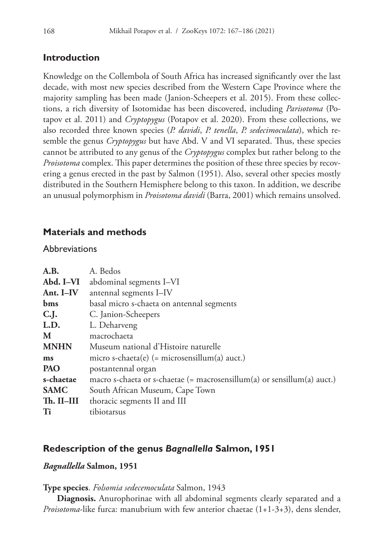# **Introduction**

Knowledge on the Collembola of South Africa has increased significantly over the last decade, with most new species described from the Western Cape Province where the majority sampling has been made (Janion-Scheepers et al. 2015). From these collections, a rich diversity of Isotomidae has been discovered, including *Parisotoma* (Potapov et al. 2011) and *Cryptopygus* (Potapov et al. 2020). From these collections, we also recorded three known species (*P. davidi*, *P. tenella*, *P. sedecimoculata*), which resemble the genus *Cryptopygus* but have Abd. V and VI separated. Thus, these species cannot be attributed to any genus of the *Cryptopygus* complex but rather belong to the *Proisotoma* complex. This paper determines the position of these three species by recovering a genus erected in the past by Salmon (1951). Also, several other species mostly distributed in the Southern Hemisphere belong to this taxon. In addition, we describe an unusual polymorphism in *Proisotoma davidi* (Barra, 2001) which remains unsolved.

# **Materials and methods**

### **Abbreviations**

| A.B.        | A. Bedos                                                                |
|-------------|-------------------------------------------------------------------------|
| Abd. I-VI   | abdominal segments I-VI                                                 |
| Ant. I-IV   | antennal segments I-IV                                                  |
| bms         | basal micro s-chaeta on antennal segments                               |
| C.J.        | C. Janion-Scheepers                                                     |
| L.D.        | L. Deharveng                                                            |
| M           | macrochaeta                                                             |
| <b>MNHN</b> | Museum national d'Histoire naturelle                                    |
| ms          | micro s-chaeta $(e)$ (= microsensillum(a) auct.)                        |
| PAO         | postantennal organ                                                      |
| s-chaetae   | macro s-chaeta or s-chaetae (= macrosensillum(a) or sensillum(a) auct.) |
| <b>SAMC</b> | South African Museum, Cape Town                                         |
| Th. II-III  | thoracic segments II and III                                            |
| Ti          | tibiotarsus                                                             |

# **Redescription of the genus** *Bagnallella* **Salmon, 1951**

### *Bagnallella* **Salmon, 1951**

#### **Type species**. *Folsomia sedecemoculata* Salmon, 1943

**Diagnosis.** Anurophorinae with all abdominal segments clearly separated and a *Proisotoma*-like furca: manubrium with few anterior chaetae (1+1-3+3), dens slender,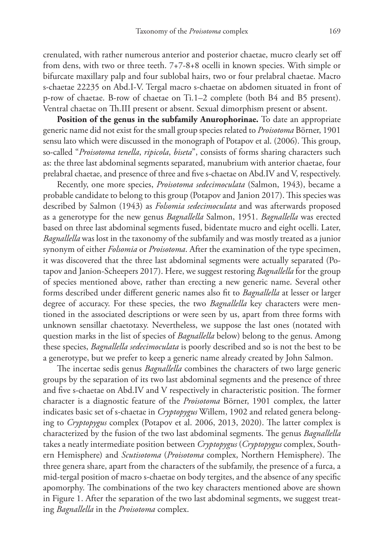crenulated, with rather numerous anterior and posterior chaetae, mucro clearly set off from dens, with two or three teeth. 7+7-8+8 ocelli in known species. With simple or bifurcate maxillary palp and four sublobal hairs, two or four prelabral chaetae. Macro s-chaetae 22235 on Abd.I-V. Tergal macro s-chaetae on abdomen situated in front of p-row of chaetae. B-row of chaetae on Ti.1–2 complete (both B4 and B5 present). Ventral chaetae on Th.III present or absent. Sexual dimorphism present or absent.

**Position of the genus in the subfamily Anurophorinae.** To date an appropriate generic name did not exist for the small group species related to *Proisotoma* Börner, 1901 sensu lato which were discussed in the monograph of Potapov et al. (2006). This group, so-called "*Proisotoma tenella*, *ripicola*, *biseta*", consists of forms sharing characters such as: the three last abdominal segments separated, manubrium with anterior chaetae, four prelabral chaetae, and presence of three and five s-chaetae on Abd.IV and V, respectively.

Recently, one more species, *Proisotoma sedecimoculata* (Salmon, 1943), became a probable candidate to belong to this group (Potapov and Janion 2017). This species was described by Salmon (1943) as *Folsomia sedecimoculata* and was afterwards proposed as a generotype for the new genus *Bagnallella* Salmon, 1951. *Bagnallella* was erected based on three last abdominal segments fused, bidentate mucro and eight ocelli. Later, *Bagnallella* was lost in the taxonomy of the subfamily and was mostly treated as a junior synonym of either *Folsomia* or *Proisotoma*. After the examination of the type specimen, it was discovered that the three last abdominal segments were actually separated (Potapov and Janion-Scheepers 2017). Here, we suggest restoring *Bagnallella* for the group of species mentioned above, rather than erecting a new generic name. Several other forms described under different generic names also fit to *Bagnallella* at lesser or larger degree of accuracy. For these species, the two *Bagnallella* key characters were mentioned in the associated descriptions or were seen by us, apart from three forms with unknown sensillar chaetotaxy. Nevertheless, we suppose the last ones (notated with question marks in the list of species of *Bagnallella* below) belong to the genus. Among these species, *Bagnallella sedecimoculata* is poorly described and so is not the best to be a generotype, but we prefer to keep a generic name already created by John Salmon.

The incertae sedis genus *Bagnallella* combines the characters of two large generic groups by the separation of its two last abdominal segments and the presence of three and five s-chaetae on Abd.IV and V respectively in characteristic position. The former character is a diagnostic feature of the *Proisotoma* Börner, 1901 complex, the latter indicates basic set of s-chaetae in *Cryptopygus* Willem, 1902 and related genera belonging to *Cryptopygus* complex (Potapov et al. 2006, 2013, 2020). The latter complex is characterized by the fusion of the two last abdominal segments. The genus *Bagnallella* takes a neatly intermediate position between *Cryptopygus* (*Cryptopygus* complex, Southern Hemisphere) and *Scutisotoma* (*Proisotoma* complex, Northern Hemisphere). The three genera share, apart from the characters of the subfamily, the presence of a furca, a mid-tergal position of macro s-chaetae on body tergites, and the absence of any specific apomorphy. The combinations of the two key characters mentioned above are shown in Figure 1. After the separation of the two last abdominal segments, we suggest treating *Bagnallella* in the *Proisotoma* complex.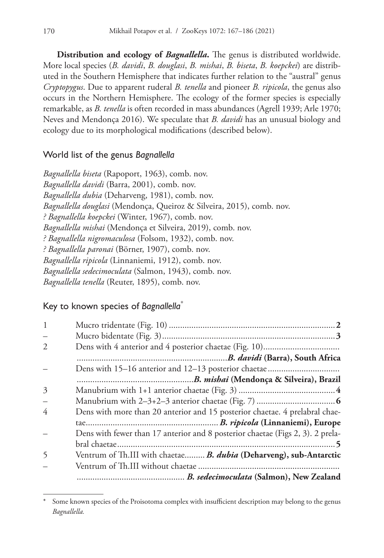**Distribution and ecology of** *Bagnallella***.** The genus is distributed worldwide. More local species (*B. davidi*, *B. douglasi*, *B. mishai*, *B. biseta*, *B. koepckei*) are distributed in the Southern Hemisphere that indicates further relation to the "austral" genus *Cryptopygus*. Due to apparent ruderal *B. tenella* and pioneer *B. ripicola*, the genus also occurs in the Northern Hemisphere. The ecology of the former species is especially remarkable, as *B. tenella* is often recorded in mass abundances (Agrell 1939; Arle 1970; Neves and Mendonça 2016). We speculate that *B. davidi* has an unusual biology and ecology due to its morphological modifications (described below).

### World list of the genus *Bagnallella*

*Bagnallella biseta* (Rapoport, 1963), comb. nov. *Bagnallella davidi* (Barra, 2001), comb. nov. *Bagnallella dubia* (Deharveng, 1981), comb. nov. *Bagnallella douglasi* (Mendonça, Queiroz & Silveira, 2015), comb. nov. *? Bagnallella koepckei* (Winter, 1967), comb. nov. *Bagnallella mishai* (Mendonça et Silveira, 2019), comb. nov. *? Bagnallella nigromaculosa* (Folsom, 1932), comb. nov. *? Bagnallella paronai* (Börner, 1907), comb. nov. *Bagnallella ripicola* (Linnaniemi, 1912), comb. nov. *Bagnallella sedecimoculata* (Salmon, 1943), comb. nov. *Bagnallella tenella* (Reuter, 1895), comb. nov.

# Key to known species of *Bagnallella\**

| 1                        |                                                                                |
|--------------------------|--------------------------------------------------------------------------------|
|                          |                                                                                |
| 2                        |                                                                                |
|                          |                                                                                |
|                          |                                                                                |
|                          |                                                                                |
| 3                        |                                                                                |
| $\overline{\phantom{0}}$ |                                                                                |
| 4                        | Dens with more than 20 anterior and 15 posterior chaetae. 4 prelabral chae-    |
|                          |                                                                                |
|                          | Dens with fewer than 17 anterior and 8 posterior chaetae (Figs 2, 3). 2 prela- |
|                          |                                                                                |
| 5                        | Ventrum of Th.III with chaetae B. dubia (Deharveng), sub-Antarctic             |
|                          |                                                                                |
|                          |                                                                                |

Some known species of the Proisotoma complex with insufficient description may belong to the genus *Bagnallella.*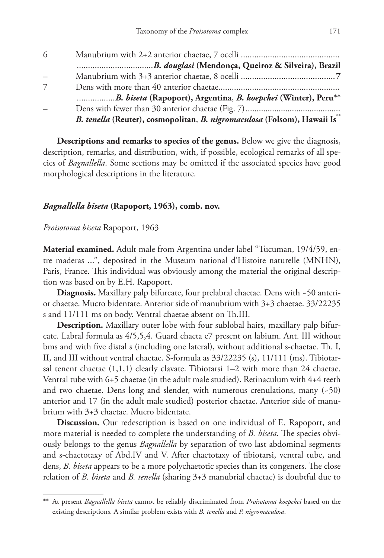| -6 |                                                                         |
|----|-------------------------------------------------------------------------|
|    |                                                                         |
|    |                                                                         |
|    |                                                                         |
|    | B. biseta (Rapoport), Argentina, B. koepckei (Winter), Peru**           |
|    |                                                                         |
|    | B. tenella (Reuter), cosmopolitan, B. nigromaculosa (Folsom), Hawaii Is |

**Descriptions and remarks to species of the genus.** Below we give the diagnosis, description, remarks, and distribution, with, if possible, ecological remarks of all species of *Bagnallella*. Some sections may be omitted if the associated species have good morphological descriptions in the literature.

#### *Bagnallella biseta* **(Rapoport, 1963), comb. nov.**

*Proisotoma biseta* Rapoport, 1963

**Material examined.** Adult male from Argentina under label "Tucuman, 19/4/59, entre maderas ...", deposited in the Museum national d'Histoire naturelle (MNHN), Paris, France. This individual was obviously among the material the original description was based on by E.H. Rapoport.

**Diagnosis.** Maxillary palp bifurcate, four prelabral chaetae. Dens with ~50 anterior chaetae. Mucro bidentate. Anterior side of manubrium with 3+3 chaetae. 33/22235 s and 11/111 ms on body. Ventral chaetae absent on Th.III.

**Description.** Maxillary outer lobe with four sublobal hairs, maxillary palp bifurcate. Labral formula as 4/5,5,4. Guard chaeta e7 present on labium. Ant. III without bms and with five distal s (including one lateral), without additional s-chaetae. Th. I, II, and III without ventral chaetae. S-formula as 33/22235 (s), 11/111 (ms). Tibiotarsal tenent chaetae  $(1,1,1)$  clearly clavate. Tibiotarsi  $1-2$  with more than 24 chaetae. Ventral tube with 6+5 chaetae (in the adult male studied). Retinaculum with 4+4 teeth and two chaetae. Dens long and slender, with numerous crenulations, many  $(-50)$ anterior and 17 (in the adult male studied) posterior chaetae. Anterior side of manubrium with 3+3 chaetae. Mucro bidentate.

**Discussion.** Our redescription is based on one individual of E. Rapoport, and more material is needed to complete the understanding of *B. biseta*. The species obviously belongs to the genus *Bagnallella* by separation of two last abdominal segments and s-chaetotaxy of Abd.IV and V. After chaetotaxy of tibiotarsi, ventral tube, and dens, *B. biseta* appears to be a more polychaetotic species than its congeners. The close relation of *B. biseta* and *B. tenella* (sharing 3+3 manubrial chaetae) is doubtful due to

<sup>\*\*</sup> At present *Bagnallella biseta* cannot be reliably discriminated from *Proisotoma koepckei* based on the existing descriptions. A similar problem exists with *B. tenella* and *P. nigromaculosa*.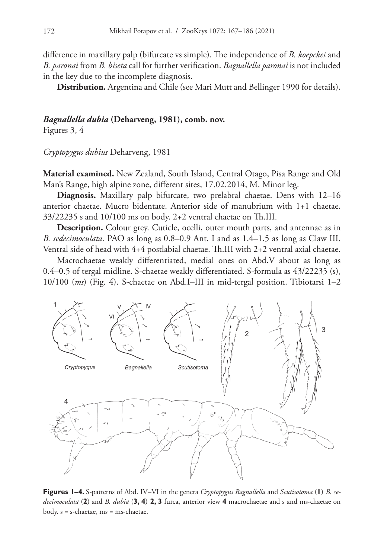difference in maxillary palp (bifurcate vs simple). The independence of *B. koepckei* and *B. paronai* from *B. biseta* call for further verification. *Bagnallella paronai* is not included in the key due to the incomplete diagnosis.

**Distribution.** Argentina and Chile (see Mari Mutt and Bellinger 1990 for details).

#### *Bagnallella dubia* **(Deharveng, 1981), comb. nov.**

Figures 3, 4

*Cryptopygus dubius* Deharveng, 1981

**Material examined.** New Zealand, South Island, Central Otago, Pisa Range and Old Man's Range, high alpine zone, different sites, 17.02.2014, M. Minor leg.

**Diagnosis.** Maxillary palp bifurcate, two prelabral chaetae. Dens with 12–16 anterior chaetae. Mucro bidentate. Anterior side of manubrium with 1+1 chaetae. 33/22235 s and 10/100 ms on body. 2+2 ventral chaetae on Th.III.

**Description.** Colour grey. Cuticle, ocelli, outer mouth parts, and antennae as in *B. sedecimoculata*. PAO as long as 0.8–0.9 Ant. I and as 1.4–1.5 as long as Claw III. Ventral side of head with 4+4 postlabial chaetae. Th.III with 2+2 ventral axial chaetae.

Macrochaetae weakly differentiated, medial ones on Abd.V about as long as 0.4–0.5 of tergal midline. S-chaetae weakly differentiated. S-formula as 43/22235 (s), 10/100 (*ms*) (Fig. 4). S-chaetae on Abd.I–III in mid-tergal position. Tibiotarsi 1–2



**Figures 1–4.** S-patterns of Abd. IV–VI in the genera *Cryptopygus Bagnallella* and *Scutisotoma* (**1**) *B. sedecimoculata* (**2**) and *B. dubia* (**3, 4**) **2, 3** furca, anterior view **4** macrochaetae and s and ms-chaetae on body. s = s-chaetae, ms = ms-chaetae.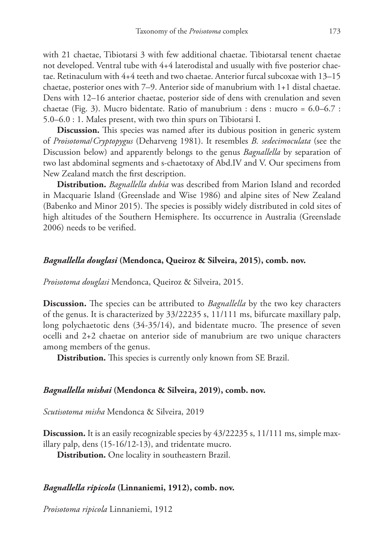with 21 chaetae, Tibiotarsi 3 with few additional chaetae. Tibiotarsal tenent chaetae not developed. Ventral tube with 4+4 laterodistal and usually with five posterior chaetae. Retinaculum with 4+4 teeth and two chaetae. Anterior furcal subcoxae with 13–15 chaetae, posterior ones with 7–9. Anterior side of manubrium with 1+1 distal chaetae. Dens with 12–16 anterior chaetae, posterior side of dens with crenulation and seven chaetae (Fig. 3). Mucro bidentate. Ratio of manubrium : dens : mucro = 6.0–6.7 : 5.0–6.0 : 1. Males present, with two thin spurs on Tibiotarsi I.

**Discussion.** This species was named after its dubious position in generic system of *Proisotoma*/*Cryptopygus* (Deharveng 1981). It resembles *B. sedecimoculata* (see the Discussion below) and apparently belongs to the genus *Bagnallella* by separation of two last abdominal segments and s-chaetotaxy of Abd.IV and V. Our specimens from New Zealand match the first description.

**Distribution.** *Bagnallella dubia* was described from Marion Island and recorded in Macquarie Island (Greenslade and Wise 1986) and alpine sites of New Zealand (Babenko and Minor 2015). The species is possibly widely distributed in cold sites of high altitudes of the Southern Hemisphere. Its occurrence in Australia (Greenslade 2006) needs to be verified.

#### *Bagnallella douglasi* **(Mendonca, Queiroz & Silveira, 2015), comb. nov.**

*Proisotoma douglasi* Mendonca, Queiroz & Silveira, 2015.

**Discussion.** The species can be attributed to *Bagnallella* by the two key characters of the genus. It is characterized by 33/22235 s, 11/111 ms, bifurcate maxillary palp, long polychaetotic dens (34-35/14), and bidentate mucro. The presence of seven ocelli and 2+2 chaetae on anterior side of manubrium are two unique characters among members of the genus.

**Distribution.** This species is currently only known from SE Brazil.

#### *Bagnallella mishai* **(Mendonca & Silveira, 2019), comb. nov.**

*Scutisotoma misha* Mendonca & Silveira, 2019

**Discussion.** It is an easily recognizable species by  $43/22235$  s,  $11/111$  ms, simple maxillary palp, dens (15-16/12-13), and tridentate mucro.

**Distribution.** One locality in southeastern Brazil.

#### *Bagnallella ripicola* **(Linnaniemi, 1912), comb. nov.**

*Proisotoma ripicola* Linnaniemi, 1912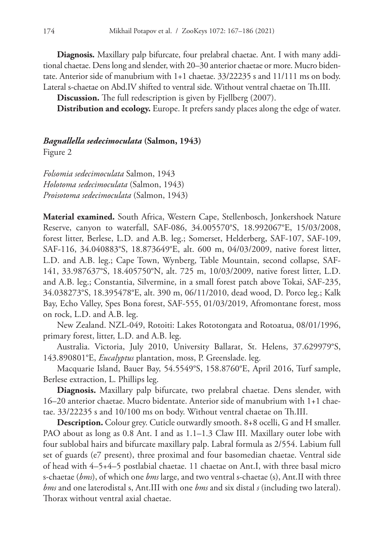**Diagnosis.** Maxillary palp bifurcate, four prelabral chaetae. Ant. I with many additional chaetae. Dens long and slender, with 20–30 anterior chaetae or more. Mucro bidentate. Anterior side of manubrium with 1+1 chaetae. 33/22235 s and 11/111 ms on body. Lateral s-chaetae on Abd.IV shifted to ventral side. Without ventral chaetae on Th.III.

**Discussion.** The full redescription is given by Fjellberg (2007).

**Distribution and ecology.** Europe. It prefers sandy places along the edge of water.

#### *Bagnallella sedecimoculata* **(Salmon, 1943)**

Figure 2

*Folsomia sedecimoculata* Salmon, 1943 *Holotoma sedecimoculata* (Salmon, 1943) *Proisotoma sedecimoculata* (Salmon, 1943)

**Material examined.** South Africa, Western Cape, Stellenbosch, Jonkershoek Nature Reserve, canyon to waterfall, SAF-086, 34.005570°S, 18.992067°E, 15/03/2008, forest litter, Berlese, L.D. and A.B. leg.; Somerset, Helderberg, SAF-107, SAF-109, SAF-116, 34.040883°S, 18.873649°E, alt. 600 m, 04/03/2009, native forest litter, L.D. and A.B. leg.; Cape Town, Wynberg, Table Mountain, second collapse, SAF-141, 33.987637°S, 18.405750°N, alt. 725 m, 10/03/2009, native forest litter, L.D. and A.B. leg.; Constantia, Silvermine, in a small forest patch above Tokai, SAF-235, 34.038273°S, 18.395478°E, alt. 390 m, 06/11/2010, dead wood, D. Porco leg.; Kalk Bay, Echo Valley, Spes Bona forest, SAF-555, 01/03/2019, Afromontane forest, moss on rock, L.D. and A.B. leg.

New Zealand. NZL-049, Rotoiti: Lakes Rototongata and Rotoatua, 08/01/1996, primary forest, litter, L.D. and A.B. leg.

Australia. Victoria, July 2010, University Ballarat, St. Helens, 37.629979°S, 143.890801°E, *Eucalyptus* plantation, moss, P. Greenslade. leg.

Macquarie Island, Bauer Bay, 54.5549°S, 158.8760°E, April 2016, Turf sample, Berlese extraction, L. Phillips leg.

**Diagnosis.** Maxillary palp bifurcate, two prelabral chaetae. Dens slender, with 16–20 anterior chaetae. Mucro bidentate. Anterior side of manubrium with 1+1 chaetae. 33/22235 s and 10/100 ms on body. Without ventral chaetae on Th.III.

**Description.** Colour grey. Cuticle outwardly smooth. 8+8 ocelli, G and H smaller. PAO about as long as 0.8 Ant. I and as 1.1–1.3 Claw III. Maxillary outer lobe with four sublobal hairs and bifurcate maxillary palp. Labral formula as 2/554. Labium full set of guards (e7 present), three proximal and four basomedian chaetae. Ventral side of head with 4–5+4–5 postlabial chaetae. 11 chaetae on Ant.I, with three basal micro s-chaetae (*bms*), of which one *bms* large, and two ventral s-chaetae (s), Ant.II with three *bms* and one laterodistal s, Ant.III with one *bms* and six distal *s* (including two lateral). Thorax without ventral axial chaetae.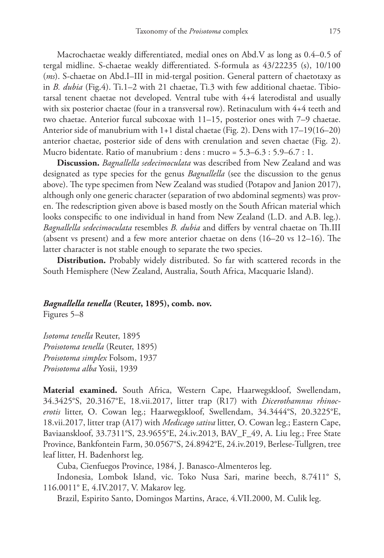Macrochaetae weakly differentiated, medial ones on Abd.V as long as 0.4–0.5 of tergal midline. S-chaetae weakly differentiated. S-formula as 43/22235 (s), 10/100 (*ms*). S-chaetae on Abd.I–III in mid-tergal position. General pattern of chaetotaxy as in *B. dubia* (Fig.4). Ti.1–2 with 21 chaetae, Ti.3 with few additional chaetae. Tibiotarsal tenent chaetae not developed. Ventral tube with 4+4 laterodistal and usually with six posterior chaetae (four in a transversal row). Retinaculum with 4+4 teeth and two chaetae. Anterior furcal subcoxae with 11–15, posterior ones with 7–9 chaetae. Anterior side of manubrium with 1+1 distal chaetae (Fig. 2). Dens with 17–19(16–20) anterior chaetae, posterior side of dens with crenulation and seven chaetae (Fig. 2). Mucro bidentate. Ratio of manubrium : dens : mucro = 5.3–6.3 : 5.9–6.7 : 1.

**Discussion.** *Bagnallella sedecimoculata* was described from New Zealand and was designated as type species for the genus *Bagnallella* (see the discussion to the genus above). The type specimen from New Zealand was studied (Potapov and Janion 2017), although only one generic character (separation of two abdominal segments) was proven. The redescription given above is based mostly on the South African material which looks conspecific to one individual in hand from New Zealand (L.D. and A.B. leg.). *Bagnallella sedecimoculata* resembles *B. dubia* and differs by ventral chaetae on Th.III (absent vs present) and a few more anterior chaetae on dens (16–20 vs 12–16). The latter character is not stable enough to separate the two species.

**Distribution.** Probably widely distributed. So far with scattered records in the South Hemisphere (New Zealand, Australia, South Africa, Macquarie Island).

#### *Bagnallella tenella* **(Reuter, 1895), comb. nov.**

Figures 5–8

*Isotoma tenella* Reuter, 1895 *Proisotoma tenella* (Reuter, 1895) *Proisotoma simplex* Folsom, 1937 *Proisotoma alba* Yosii, 1939

**Material examined.** South Africa, Western Cape, Haarwegskloof, Swellendam, 34.3425°S, 20.3167°E, 18.vii.2017, litter trap (R17) with *Dicerothamnus rhinocerotis* litter, O. Cowan leg.; Haarwegskloof, Swellendam, 34.3444°S, 20.3225°E, 18.vii.2017, litter trap (A17) with *Medicago sativa* litter, O. Cowan leg.; Eastern Cape, Baviaanskloof, 33.7311°S, 23.9655°E, 24.iv.2013, BAV\_F\_49, A. Liu leg.; Free State Province, Bankfontein Farm, 30.0567°S, 24.8942°E, 24.iv.2019, Berlese-Tullgren, tree leaf litter, H. Badenhorst leg.

Cuba, Cienfuegos Province, 1984, J. Banasco-Almenteros leg.

Indonesia, Lombok Island, vic. Toko Nusa Sari, marine beech, 8.7411° S, 116.0011° E, 4.IV.2017, V. Makarov leg.

Brazil, Espirito Santo, Domingos Martins, Arace, 4.VII.2000, M. Culik leg.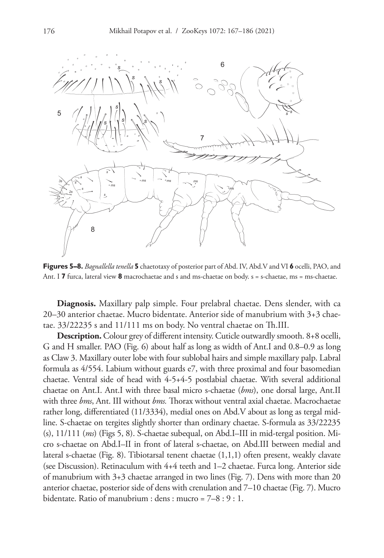

**Figures 5–8.** *Bagnallella tenella* **5** chaetotaxy of posterior part of Abd. IV, Abd.V and VI **6** ocelli, PAO, and Ant. I **7** furca, lateral view **8** macrochaetae and s and ms-chaetae on body. s = s-chaetae, ms = ms-chaetae.

**Diagnosis.** Maxillary palp simple. Four prelabral chaetae. Dens slender, with ca 20–30 anterior chaetae. Mucro bidentate. Anterior side of manubrium with 3+3 chaetae. 33/22235 s and 11/111 ms on body. No ventral chaetae on Th.III.

**Description.** Colour grey of different intensity. Cuticle outwardly smooth. 8+8 ocelli, G and H smaller. PAO (Fig. 6) about half as long as width of Ant.I and 0.8–0.9 as long as Claw 3. Maxillary outer lobe with four sublobal hairs and simple maxillary palp. Labral formula as 4/554. Labium without guards e7, with three proximal and four basomedian chaetae. Ventral side of head with 4-5+4-5 postlabial chaetae. With several additional chaetae on Ant.I. Ant.I with three basal micro s-chaetae (*bms*), one dorsal large, Ant.II with three *bms*, Ant. III without *bms.* Thorax without ventral axial chaetae. Macrochaetae rather long, differentiated (11/3334), medial ones on Abd.V about as long as tergal midline. S-chaetae on tergites slightly shorter than ordinary chaetae. S-formula as 33/22235 (s), 11/111 (*ms*) (Figs 5, 8). S-chaetae subequal, on Abd.I–III in mid-tergal position. Micro s-chaetae on Abd.I–II in front of lateral s-chaetae, on Abd.III between medial and lateral s-chaetae (Fig. 8). Tibiotarsal tenent chaetae (1,1,1) often present, weakly clavate (see Discussion). Retinaculum with 4+4 teeth and 1–2 chaetae. Furca long. Anterior side of manubrium with 3+3 chaetae arranged in two lines (Fig. 7). Dens with more than 20 anterior chaetae, posterior side of dens with crenulation and 7–10 chaetae (Fig. 7). Mucro bidentate. Ratio of manubrium : dens : mucro = 7–8 : 9 : 1.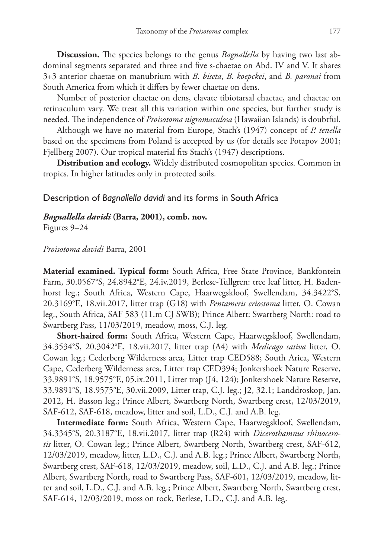**Discussion.** The species belongs to the genus *Bagnallella* by having two last abdominal segments separated and three and five s-chaetae on Abd. IV and V. It shares 3+3 anterior chaetae on manubrium with *B. biseta*, *B. koepckei*, and *B. paronai* from South America from which it differs by fewer chaetae on dens.

Number of posterior chaetae on dens, clavate tibiotarsal chaetae, and chaetae on retinaculum vary. We treat all this variation within one species, but further study is needed. The independence of *Proisotoma nigromaculosa* (Hawaiian Islands) is doubtful.

Although we have no material from Europe, Stach's (1947) concept of *P. tenella* based on the specimens from Poland is accepted by us (for details see Potapov 2001; Fjellberg 2007). Our tropical material fits Stach's (1947) descriptions.

**Distribution and ecology.** Widely distributed cosmopolitan species. Common in tropics. In higher latitudes only in protected soils.

#### Description of *Bagnallella davidi* and its forms in South Africa

#### *Bagnallella davidi* **(Barra, 2001), comb. nov.**

Figures 9–24

#### *Proisotoma davidi* Barra, 2001

**Material examined. Typical form:** South Africa, Free State Province, Bankfontein Farm, 30.0567°S, 24.8942°E, 24.iv.2019, Berlese-Tullgren: tree leaf litter, H. Badenhorst leg.; South Africa, Western Cape, Haarwegskloof, Swellendam, 34.3422°S, 20.3169°E, 18.vii.2017, litter trap (G18) with *Pentameris eriostoma* litter, O. Cowan leg., South Africa, SAF 583 (11.m CJ SWB); Prince Albert: Swartberg North: road to Swartberg Pass, 11/03/2019, meadow, moss, C.J. leg.

**Short-haired form:** South Africa, Western Cape, Haarwegskloof, Swellendam, 34.3534°S, 20.3042°E, 18.vii.2017, litter trap (A4) with *Medicago sativa* litter, O. Cowan leg.; Cederberg Wilderness area, Litter trap CED588; South Arica, Western Cape, Cederberg Wilderness area, Litter trap CED394; Jonkershoek Nature Reserve, 33.9891°S, 18.9575°E, 05.ix.2011, Litter trap (J4, 124); Jonkershoek Nature Reserve, 33.9891°S, 18.9575°E, 30.vii.2009, Litter trap, C.J. leg.; J2, 32.1; Landdroskop, Jan. 2012, H. Basson leg.; Prince Albert, Swartberg North, Swartberg crest, 12/03/2019, SAF-612, SAF-618, meadow, litter and soil, L.D., C.J. and A.B. leg.

**Intermediate form:** South Africa, Western Cape, Haarwegskloof, Swellendam, 34.3345°S, 20.3187°E, 18.vii.2017, litter trap (R24) with *Dicerothamnus rhinocerotis* litter, O. Cowan leg.; Prince Albert, Swartberg North, Swartberg crest, SAF-612, 12/03/2019, meadow, litter, L.D., C.J. and A.B. leg.; Prince Albert, Swartberg North, Swartberg crest, SAF-618, 12/03/2019, meadow, soil, L.D., C.J. and A.B. leg.; Prince Albert, Swartberg North, road to Swartberg Pass, SAF-601, 12/03/2019, meadow, litter and soil, L.D., C.J. and A.B. leg.; Prince Albert, Swartberg North, Swartberg crest, SAF-614, 12/03/2019, moss on rock, Berlese, L.D., C.J. and A.B. leg.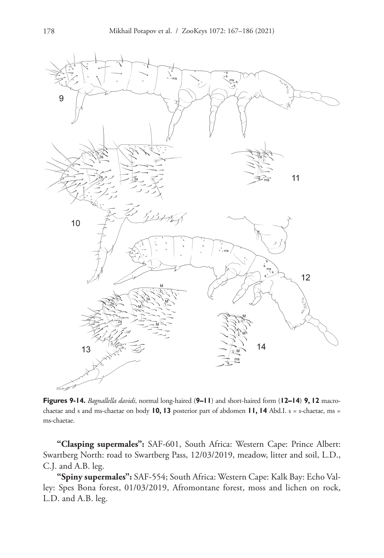

**Figures 9-14.** *Bagnallella davidi*, normal long-haired (**9–11**) and short-haired form (**12–14**) **9, 12** macrochaetae and s and ms-chaetae on body **10, 13** posterior part of abdomen **11, 14** Abd.I. s = s-chaetae, ms = ms-chaetae.

**"Clasping supermales":** SAF-601, South Africa: Western Cape: Prince Albert: Swartberg North: road to Swartberg Pass, 12/03/2019, meadow, litter and soil, L.D., C.J. and A.B. leg.

**"Spiny supermales":** SAF-554; South Africa: Western Cape: Kalk Bay: Echo Valley: Spes Bona forest, 01/03/2019, Afromontane forest, moss and lichen on rock, L.D. and A.B. leg.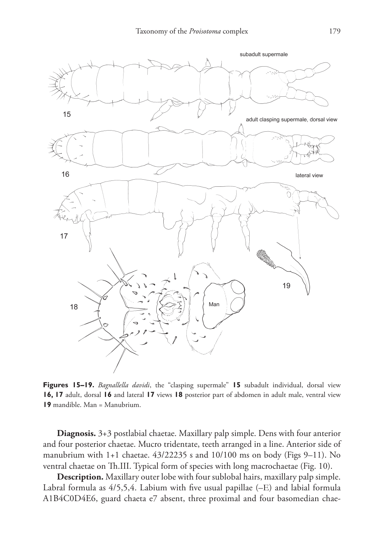

**Figures 15–19.** *Bagnallella davidi*, the "clasping supermale" **15** subadult individual, dorsal view **16, 17** adult, dorsal **16** and lateral **17** views **18** posterior part of abdomen in adult male, ventral view **19** mandible. Man = Manubrium.

**Diagnosis.** 3+3 postlabial chaetae. Maxillary palp simple. Dens with four anterior and four posterior chaetae. Mucro tridentate, teeth arranged in a line. Anterior side of manubrium with 1+1 chaetae. 43/22235 s and 10/100 ms on body (Figs 9–11). No ventral chaetae on Th.III. Typical form of species with long macrochaetae (Fig. 10).

**Description.** Maxillary outer lobe with four sublobal hairs, maxillary palp simple. Labral formula as 4/5,5,4. Labium with five usual papillae (–Е) and labial formula A1B4C0D4E6, guard chaeta e7 absent, three proximal and four basomedian chae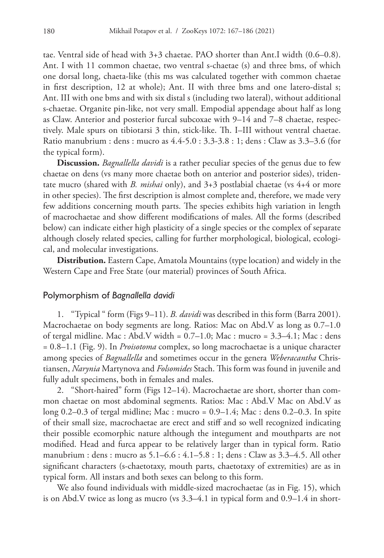tae. Ventral side of head with 3+3 chaetae. PAO shorter than Ant.I width (0.6–0.8). Ant. I with 11 common chaetae, two ventral s-chaetae (s) and three bms, of which one dorsal long, chaeta-like (this ms was calculated together with common chaetae in first description, 12 at whole); Ant. II with three bms and one latero-distal s; Ant. III with one bms and with six distal s (including two lateral), without additional s-chaetae. Organite pin-like, not very small. Empodial appendage about half as long as Claw. Anterior and posterior furcal subcoxae with 9–14 and 7–8 chaetae, respectively. Male spurs on tibiotarsi 3 thin, stick-like. Th. I–III without ventral chaetae. Ratio manubrium : dens : mucro as 4.4-5.0 : 3.3-3.8 : 1; dens : Claw as 3.3–3.6 (for the typical form).

**Discussion.** *Bagnallella davidi* is a rather peculiar species of the genus due to few chaetae on dens (vs many more chaetae both on anterior and posterior sides), tridentate mucro (shared with *B. mishai* only), and 3+3 postlabial chaetae (vs 4+4 or more in other species). The first description is almost complete and, therefore, we made very few additions concerning mouth parts. The species exhibits high variation in length of macrochaetae and show different modifications of males. All the forms (described below) can indicate either high plasticity of a single species or the complex of separate although closely related species, calling for further morphological, biological, ecological, and molecular investigations.

**Distribution.** Eastern Cape, Amatola Mountains (type location) and widely in the Western Cape and Free State (our material) provinces of South Africa.

#### Polymorphism of *Bagnallella davidi*

1. "Typical " form (Figs 9–11). *B. davidi* was described in this form (Barra 2001). Macrochaetae on body segments are long. Ratios: Mac on Abd.V as long as 0.7–1.0 of tergal midline. Mac : Abd.V width =  $0.7-1.0$ ; Mac : mucro =  $3.3-4.1$ ; Mac : dens = 0.8–1.1 (Fig. 9). In *Proisotoma* complex, so long macrochaetae is a unique character among species of *Bagnallella* and sometimes occur in the genera *Weberacantha* Christiansen, *Narynia* Martynova and *Folsomides* Stach. This form was found in juvenile and fully adult specimens, both in females and males.

2. "Short-haired" form (Figs 12–14). Macrochaetae are short, shorter than common chaetae on most abdominal segments. Ratios: Mac : Abd.V Mac on Abd.V as long  $0.2-0.3$  of tergal midline; Mac : mucro =  $0.9-1.4$ ; Mac : dens  $0.2-0.3$ . In spite of their small size, macrochaetae are erect and stiff and so well recognized indicating their possible ecomorphic nature although the integument and mouthparts are not modified. Head and furca appear to be relatively larger than in typical form. Ratio manubrium : dens : mucro as 5.1–6.6 : 4.1–5.8 : 1; dens : Claw as 3.3–4.5. All other significant characters (s-chaetotaxy, mouth parts, chaetotaxy of extremities) are as in typical form. All instars and both sexes can belong to this form.

We also found individuals with middle-sized macrochaetae (as in Fig. 15), which is on Abd.V twice as long as mucro (vs 3.3–4.1 in typical form and 0.9–1.4 in short-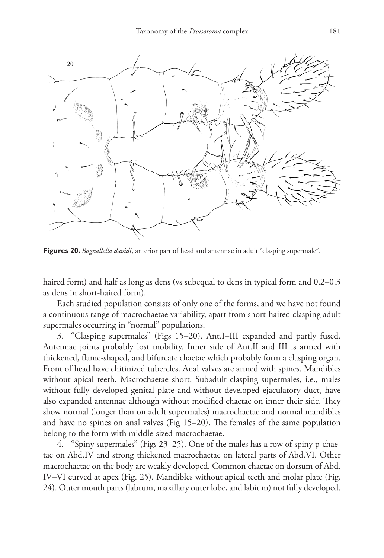

**Figures 20.** *Bagnallella davidi*, anterior part of head and antennae in adult "clasping supermale".

haired form) and half as long as dens (vs subequal to dens in typical form and  $0.2-0.3$ as dens in short-haired form).

Each studied population consists of only one of the forms, and we have not found a continuous range of macrochaetae variability, apart from short-haired clasping adult supermales occurring in "normal" populations.

3. "Clasping supermales" (Figs 15–20). Ant.I–III expanded and partly fused. Antennae joints probably lost mobility. Inner side of Ant.II and III is armed with thickened, flame-shaped, and bifurcate chaetae which probably form a clasping organ. Front of head have chitinized tubercles. Anal valves are armed with spines. Mandibles without apical teeth. Macrochaetae short. Subadult clasping supermales, i.e., males without fully developed genital plate and without developed ejaculatory duct, have also expanded antennae although without modified chaetae on inner their side. They show normal (longer than on adult supermales) macrochaetae and normal mandibles and have no spines on anal valves (Fig 15–20). The females of the same population belong to the form with middle-sized macrochaetae.

4. "Spiny supermales" (Figs 23–25). One of the males has a row of spiny p-chaetae on Abd.IV and strong thickened macrochaetae on lateral parts of Abd.VI. Other macrochaetae on the body are weakly developed. Common chaetae on dorsum of Abd. IV–VI curved at apex (Fig. 25). Mandibles without apical teeth and molar plate (Fig. 24). Outer mouth parts (labrum, maxillary outer lobe, and labium) not fully developed.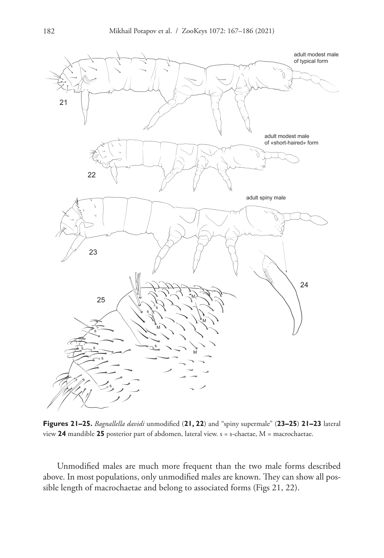

**Figures 21–25.** *Bagnallella davidi* unmodified (**21, 22**) and "spiny supermale" (**23–25**) **21–23** lateral view **24** mandible **25** posterior part of abdomen, lateral view. s = s-chaetae, M = macrochaetae.

Unmodified males are much more frequent than the two male forms described above. In most populations, only unmodified males are known. They can show all possible length of macrochaetae and belong to associated forms (Figs 21, 22).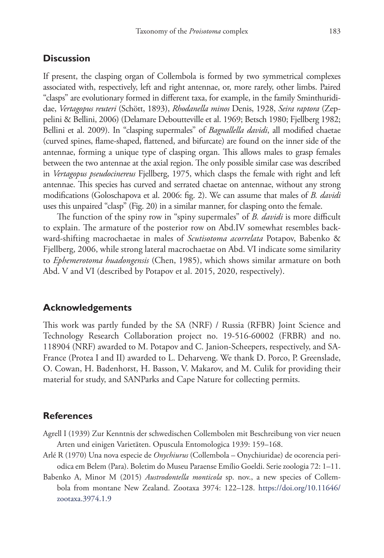## **Discussion**

If present, the clasping organ of Collembola is formed by two symmetrical complexes associated with, respectively, left and right antennae, or, more rarely, other limbs. Paired "clasps" are evolutionary formed in different taxa, for example, in the family Sminthurididae, *Vertagopus reuteri* (Schött, 1893), *Rhodanella minos* Denis, 1928, *Seira raptora* (Zeppelini & Bellini, 2006) (Delamare Deboutteville et al. 1969; Betsch 1980; Fjellberg 1982; Bellini et al. 2009). In "clasping supermales" of *Bagnallella davidi*, all modified chaetae (curved spines, flame-shaped, flattened, and bifurcate) are found on the inner side of the antennae, forming a unique type of clasping organ. This allows males to grasp females between the two antennae at the axial region. The only possible similar case was described in *Vertagopus pseudocinereus* Fjellberg, 1975, which clasps the female with right and left antennae. This species has curved and serrated chaetae on antennae, without any strong modifications (Goloschapova et al. 2006: fig. 2). We can assume that males of *B. davidi* uses this unpaired "clasp" (Fig. 20) in a similar manner, for clasping onto the female.

The function of the spiny row in "spiny supermales" of *B. davidi* is more difficult to explain. The armature of the posterior row on Abd.IV somewhat resembles backward-shifting macrochaetae in males of *Scutisotoma acorrelata* Potapov, Babenko & Fjellberg, 2006, while strong lateral macrochaetae on Abd. VI indicate some similarity to *Ephemerotoma huadongensis* (Chen, 1985), which shows similar armature on both Abd. V and VI (described by Potapov et al. 2015, 2020, respectively).

#### **Acknowledgements**

This work was partly funded by the SA (NRF) / Russia (RFBR) Joint Science and Technology Research Collaboration project no. 19-516-60002 (FRBR) and no. 118904 (NRF) awarded to M. Potapov and C. Janion-Scheepers, respectively, and SA-France (Protea I and II) awarded to L. Deharveng. We thank D. Porco, P. Greenslade, O. Cowan, H. Badenhorst, H. Basson, V. Makarov, and M. Culik for providing their material for study, and SANParks and Cape Nature for collecting permits.

## **References**

- Agrell I (1939) Zur Kenntnis der schwedischen Collembolen mit Beschreibung von vier neuen Arten und einigen Varietäten. Opuscula Entomologica 1939: 159–168.
- Arlé R (1970) Una nova especie de *Onychiurus* (Collembola Onychiuridae) de ocorencia periodica em Belem (Para). Boletim do Museu Paraense Emílio Goeldi. Serie zoologia 72: 1–11.
- Babenko A, Minor M (2015) *Austrodontella monticola* sp. nov., a new species of Collembola from montane New Zealand. Zootaxa 3974: 122–128. [https://doi.org/10.11646/](https://doi.org/10.11646/zootaxa.3974.1.9) [zootaxa.3974.1.9](https://doi.org/10.11646/zootaxa.3974.1.9)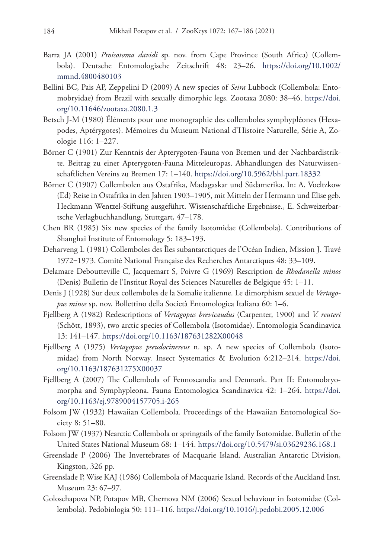- Barra JA (2001) *Proisotoma davidi* sp. nov. from Cape Province (South Africa) (Collembola). Deutsche Entomologische Zeitschrift 48: 23–26. [https://doi.org/10.1002/](https://doi.org/10.1002/mmnd.4800480103) [mmnd.4800480103](https://doi.org/10.1002/mmnd.4800480103)
- Bellini BC, Pais AP, Zeppelini D (2009) A new species of *Seira* Lubbock (Collembola: Entomobryidae) from Brazil with sexually dimorphic legs. Zootaxa 2080: 38–46. [https://doi.](https://doi.org/10.11646/zootaxa.2080.1.3) [org/10.11646/zootaxa.2080.1.3](https://doi.org/10.11646/zootaxa.2080.1.3)
- Betsch J-M (1980) Éléments pour une monographie des collemboles symphypléones (Hexapodes, Aptérygotes). Mémoires du Museum National d'Histoire Naturelle, Série A, Zoologie 116: 1–227.
- Börner C (1901) Zur Kenntnis der Apterygoten-Fauna von Bremen und der Nachbardistrikte. Beitrag zu einer Apterygoten-Fauna Mitteleuropas. Abhandlungen des Naturwissenschaftlichen Vereins zu Bremen 17: 1–140.<https://doi.org/10.5962/bhl.part.18332>
- Börner C (1907) Collembolen aus Ostafrika, Madagaskar und Südamerika. In: A. Voeltzkow (Ed) Reise in Ostafrika in den Jahren 1903–1905, mit Mitteln der Hermann und Elise geb. Heckmann Wentzel-Stiftung ausgeführt. Wissenschaftliche Ergebnisse., E. Schweizerbartsche Verlagbuchhandlung, Stuttgart, 47–178.
- Chen BR (1985) Six new species of the family Isotomidae (Collembola). Contributions of Shanghai Institute of Entomology 5: 183–193.
- Deharveng L (1981) Collemboles des Îles subantarctiques de l'Océan Indien, Mission J. Travé 1972‒1973. Comité National Française des Recherches Antarctiques 48: 33–109.
- Delamare Deboutteville C, Jacquemart S, Poivre G (1969) Rescription de *Rhodanella minos* (Denis) Bulletin de l'Institut Royal des Sciences Naturelles de Belgique 45: 1–11.
- Denis J (1928) Sur deux collemboles de la Somalie italienne. Le dimorphism sexuel de *Vertagopus minos* sp. nov. Bollettino della Società Entomologica Italiana 60: 1–6.
- Fjellberg A (1982) Redescriptions of *Vertagopus brevicaudus* (Carpenter, 1900) and *V. reuteri* (Schött, 1893), two arctic species of Collembola (Isotomidae). Entomologia Scandinavica 13: 141–147.<https://doi.org/10.1163/187631282X00048>
- Fjellberg A (1975) *Vertagopus pseudocinereus* n. sp. A new species of Collembola (Isotomidae) from North Norway. Insect Systematics & Evolution 6:212–214. [https://doi.](https://doi.org/10.1163/187631275X00037) [org/10.1163/187631275X00037](https://doi.org/10.1163/187631275X00037)
- Fjellberg A (2007) The Collembola of Fennoscandia and Denmark. Part II: Entomobryomorpha and Symphypleona. Fauna Entomologica Scandinavica 42: 1–264. [https://doi.](https://doi.org/10.1163/ej.9789004157705.i-265) [org/10.1163/ej.9789004157705.i-265](https://doi.org/10.1163/ej.9789004157705.i-265)
- Folsom JW (1932) Hawaiian Collembola. Proceedings of the Hawaiian Entomological Society 8: 51–80.
- Folsom JW (1937) Nearctic Collembola or springtails of the family Isotomidae. Bulletin of the United States National Museum 68: 1–144.<https://doi.org/10.5479/si.03629236.168.1>
- Greenslade P (2006) The Invertebrates of Macquarie Island. Australian Antarctic Division, Kingston, 326 pp.
- Greenslade P, Wise KAJ (1986) Collembola of Macquarie Island. Records of the Auckland Inst. Museum 23: 67–97.
- Goloschapova NP, Potapov MB, Chernova NM (2006) Sexual behaviour in Isotomidae (Collembola). Pedobiologia 50: 111–116. <https://doi.org/10.1016/j.pedobi.2005.12.006>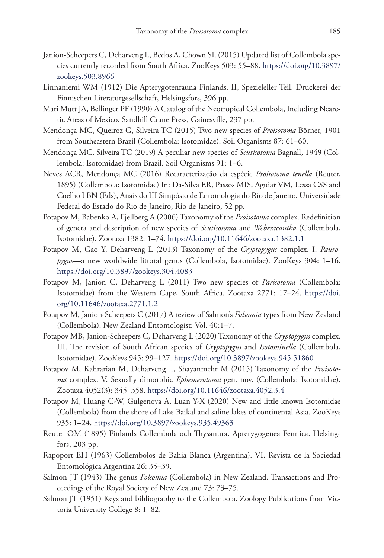- Janion-Scheepers C, Deharveng L, Bedos A, Chown SL (2015) Updated list of Collembola species currently recorded from South Africa. ZooKeys 503: 55–88. [https://doi.org/10.3897/](https://doi.org/10.3897/zookeys.503.8966) [zookeys.503.8966](https://doi.org/10.3897/zookeys.503.8966)
- Linnaniemi WM (1912) Die Apterygotenfauna Finlands. II, Spezieleller Teil. Druckerei der Finnischen Literaturgesellschaft, Helsingsfors, 396 pp.
- Mari Mutt JA, Bellinger PF (1990) A Catalog of the Neotropical Collembola, Including Nearctic Areas of Mexico. Sandhill Crane Press, Gainesville, 237 pp.
- Mendonça MC, Queiroz G, Silveira TC (2015) Two new species of *Proisotoma* Börner, 1901 from Southeastern Brazil (Collembola: Isotomidae). Soil Organisms 87: 61–60.
- Mendonça MC, Silveira TC (2019) A peculiar new species of *Scutisotoma* Bagnall, 1949 (Collembola: Isotomidae) from Brazil. Soil Organisms 91: 1–6.
- Neves ACR, Mendonça MC (2016) Recaracterização da espécie *Proisotoma tenella* (Reuter, 1895) (Collembola: Isotomidae) In: Da-Silva ER, Passos MIS, Aguiar VM, Lessa CSS and Coelho LBN (Eds), Anais do III Simpósio de Entomologia do Rio de Janeiro. Universidade Federal do Estado do Rio de Janeiro, Rio de Janeiro, 52 pp.
- Potapov M, Babenko A, Fjellberg A (2006) Taxonomy of the *Proisotoma* complex. Redefinition of genera and description of new species of *Scutisotoma* and *Weberacantha* (Collembola, Isotomidae). Zootaxa 1382: 1–74.<https://doi.org/10.11646/zootaxa.1382.1.1>
- Potapov M, Gao Y, Deharveng L (2013) Taxonomy of the *Cryptopygus* complex. I. *Pauropygus*—a new worldwide littoral genus (Collembola, Isotomidae). ZooKeys 304: 1–16. <https://doi.org/10.3897/zookeys.304.4083>
- Potapov M, Janion C, Deharveng L (2011) Two new species of *Parisotoma* (Collembola: Isotomidae) from the Western Cape, South Africa. Zootaxa 2771: 17–24. [https://doi.](https://doi.org/10.11646/zootaxa.2771.1.2) [org/10.11646/zootaxa.2771.1.2](https://doi.org/10.11646/zootaxa.2771.1.2)
- Potapov M, Janion-Scheepers C (2017) A review of Salmon's *Folsomia* types from New Zealand (Collembola). New Zealand Entomologist: Vol. 40:1–7.
- Potapov MB, Janion-Scheepers C, Deharveng L (2020) Taxonomy of the *Cryptopygus* complex. III. The revision of South African species of *Cryptopygus* and *Isotominella* (Collembola, Isotomidae). ZooKeys 945: 99–127.<https://doi.org/10.3897/zookeys.945.51860>
- Potapov M, Kahrarian M, Deharveng L, Shayanmehr M (2015) Taxonomy of the *Proisotoma* complex. V. Sexually dimorphic *Ephemerotoma* gen. nov. (Collembola: Isotomidae). Zootaxa 4052(3): 345–358. <https://doi.org/10.11646/zootaxa.4052.3.4>
- Potapov M, Huang C-W, Gulgenova A, Luan Y-X (2020) New and little known Isotomidae (Collembola) from the shore of Lake Baikal and saline lakes of continental Asia. ZooKeys 935: 1–24.<https://doi.org/10.3897/zookeys.935.49363>
- Reuter OM (1895) Finlands Collembola och Thysanura. Apterygogenea Fennica. Helsingfors, 203 pp.
- Rapoport EH (1963) Collembolos de Bahia Blanca (Argentina). VI. Revista de la Sociedad Entomológica Argentina 26: 35–39.
- Salmon JT (1943) The genus *Folsomia* (Collembola) in New Zealand. Transactions and Proceedings of the Royal Society of New Zealand 73: 73–75.
- Salmon JT (1951) Keys and bibliography to the Collembola. Zoology Publications from Victoria University College 8: 1–82.